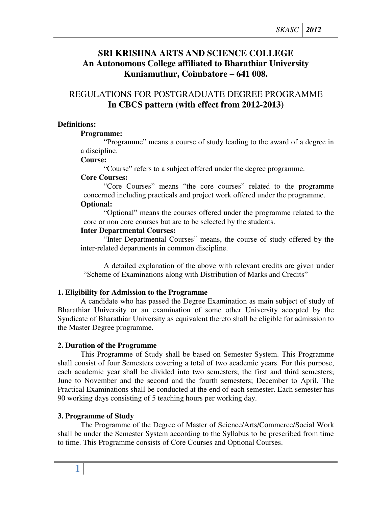# **SRI KRISHNA ARTS AND SCIENCE COLLEGE An Autonomous College affiliated to Bharathiar University Kuniamuthur, Coimbatore – 641 008.**

# REGULATIONS FOR POSTGRADUATE DEGREE PROGRAMME **In CBCS pattern (with effect from 2012-2013)**

## **Definitions:**

## **Programme:**

"Programme" means a course of study leading to the award of a degree in a discipline.

## **Course:**

"Course" refers to a subject offered under the degree programme.

## **Core Courses:**

"Core Courses" means "the core courses" related to the programme concerned including practicals and project work offered under the programme.

# **Optional:**

"Optional" means the courses offered under the programme related to the core or non core courses but are to be selected by the students.

## **Inter Departmental Courses:**

"Inter Departmental Courses" means, the course of study offered by the inter-related departments in common discipline.

 A detailed explanation of the above with relevant credits are given under "Scheme of Examinations along with Distribution of Marks and Credits"

# **1. Eligibility for Admission to the Programme**

A candidate who has passed the Degree Examination as main subject of study of Bharathiar University or an examination of some other University accepted by the Syndicate of Bharathiar University as equivalent thereto shall be eligible for admission to the Master Degree programme.

## **2. Duration of the Programme**

 This Programme of Study shall be based on Semester System. This Programme shall consist of four Semesters covering a total of two academic years. For this purpose, each academic year shall be divided into two semesters; the first and third semesters; June to November and the second and the fourth semesters; December to April. The Practical Examinations shall be conducted at the end of each semester. Each semester has 90 working days consisting of 5 teaching hours per working day.

## **3. Programme of Study**

The Programme of the Degree of Master of Science/Arts/Commerce/Social Work shall be under the Semester System according to the Syllabus to be prescribed from time to time. This Programme consists of Core Courses and Optional Courses.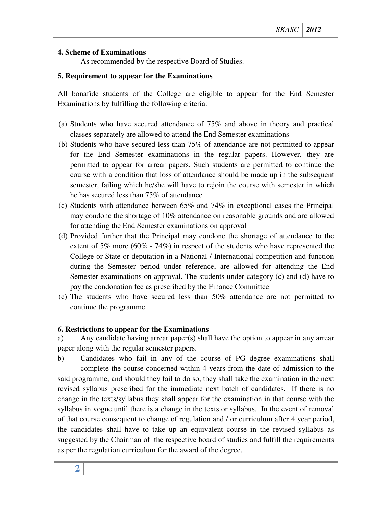# **4. Scheme of Examinations**

As recommended by the respective Board of Studies.

## **5. Requirement to appear for the Examinations**

All bonafide students of the College are eligible to appear for the End Semester Examinations by fulfilling the following criteria:

- (a) Students who have secured attendance of 75% and above in theory and practical classes separately are allowed to attend the End Semester examinations
- (b) Students who have secured less than 75% of attendance are not permitted to appear for the End Semester examinations in the regular papers. However, they are permitted to appear for arrear papers. Such students are permitted to continue the course with a condition that loss of attendance should be made up in the subsequent semester, failing which he/she will have to rejoin the course with semester in which he has secured less than 75% of attendance
- (c) Students with attendance between 65% and 74% in exceptional cases the Principal may condone the shortage of 10% attendance on reasonable grounds and are allowed for attending the End Semester examinations on approval
- (d) Provided further that the Principal may condone the shortage of attendance to the extent of 5% more (60% - 74%) in respect of the students who have represented the College or State or deputation in a National / International competition and function during the Semester period under reference, are allowed for attending the End Semester examinations on approval. The students under category (c) and (d) have to pay the condonation fee as prescribed by the Finance Committee
- (e) The students who have secured less than 50% attendance are not permitted to continue the programme

## **6. Restrictions to appear for the Examinations**

a) Any candidate having arrear paper(s) shall have the option to appear in any arrear paper along with the regular semester papers.

b) Candidates who fail in any of the course of PG degree examinations shall complete the course concerned within 4 years from the date of admission to the said programme, and should they fail to do so, they shall take the examination in the next revised syllabus prescribed for the immediate next batch of candidates. If there is no change in the texts/syllabus they shall appear for the examination in that course with the syllabus in vogue until there is a change in the texts or syllabus. In the event of removal of that course consequent to change of regulation and / or curriculum after 4 year period, the candidates shall have to take up an equivalent course in the revised syllabus as suggested by the Chairman of the respective board of studies and fulfill the requirements as per the regulation curriculum for the award of the degree.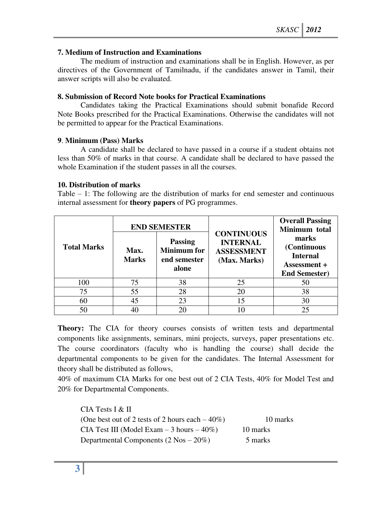## **7. Medium of Instruction and Examinations**

The medium of instruction and examinations shall be in English. However, as per directives of the Government of Tamilnadu, if the candidates answer in Tamil, their answer scripts will also be evaluated.

## **8. Submission of Record Note books for Practical Examinations**

Candidates taking the Practical Examinations should submit bonafide Record Note Books prescribed for the Practical Examinations. Otherwise the candidates will not be permitted to appear for the Practical Examinations.

## **9**. **Minimum (Pass) Marks**

A candidate shall be declared to have passed in a course if a student obtains not less than 50% of marks in that course. A candidate shall be declared to have passed the whole Examination if the student passes in all the courses.

## **10. Distribution of marks**

Table – 1: The following are the distribution of marks for end semester and continuous internal assessment for **theory papers** of PG programmes.

|                    |                      | <b>END SEMESTER</b>                                           |                                                                           | <b>Overall Passing</b><br>Minimum total                                         |
|--------------------|----------------------|---------------------------------------------------------------|---------------------------------------------------------------------------|---------------------------------------------------------------------------------|
| <b>Total Marks</b> | Max.<br><b>Marks</b> | <b>Passing</b><br><b>Minimum</b> for<br>end semester<br>alone | <b>CONTINUOUS</b><br><b>INTERNAL</b><br><b>ASSESSMENT</b><br>(Max. Marks) | marks<br>(Continuous<br><b>Internal</b><br>Assessment +<br><b>End Semester)</b> |
| 100                | 75                   | 38                                                            | 25                                                                        | 50                                                                              |
| 75                 | 55                   | 28                                                            | 20                                                                        | 38                                                                              |
| 60                 | 45                   | 23                                                            | 15                                                                        | 30                                                                              |
| 50                 |                      | 20                                                            |                                                                           | 25                                                                              |

**Theory:** The CIA for theory courses consists of written tests and departmental components like assignments, seminars, mini projects, surveys, paper presentations etc. The course coordinators (faculty who is handling the course) shall decide the departmental components to be given for the candidates. The Internal Assessment for theory shall be distributed as follows,

40% of maximum CIA Marks for one best out of 2 CIA Tests, 40% for Model Test and 20% for Departmental Components.

 CIA Tests I & II (One best out of 2 tests of 2 hours each  $-40\%$ ) 10 marks CIA Test III (Model Exam  $-3$  hours  $-40\%$ ) 10 marks Departmental Components  $(2 \text{ Nos} - 20\%)$  5 marks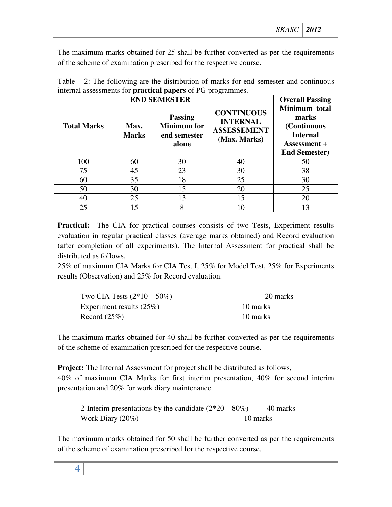The maximum marks obtained for 25 shall be further converted as per the requirements of the scheme of examination prescribed for the respective course.

|                    |                      | <b>END SEMESTER</b>                                           | $\circ$                                                                    | <b>Overall Passing</b>                                                                           |
|--------------------|----------------------|---------------------------------------------------------------|----------------------------------------------------------------------------|--------------------------------------------------------------------------------------------------|
| <b>Total Marks</b> | Max.<br><b>Marks</b> | <b>Passing</b><br><b>Minimum</b> for<br>end semester<br>alone | <b>CONTINUOUS</b><br><b>INTERNAL</b><br><b>ASSESSEMENT</b><br>(Max. Marks) | Minimum total<br>marks<br>(Continuous<br><b>Internal</b><br>Assessment +<br><b>End Semester)</b> |
| 100                | 60                   | 30                                                            | 40                                                                         | 50                                                                                               |
| 75                 | 45                   | 23                                                            | 30                                                                         | 38                                                                                               |
| 60                 | 35                   | 18                                                            | 25                                                                         | 30                                                                                               |
| 50                 | 30                   | 15                                                            | 20                                                                         | 25                                                                                               |
| 40                 | 25                   | 13                                                            | 15                                                                         | 20                                                                                               |
| 25                 |                      | 8                                                             | 10                                                                         | 13                                                                                               |

| Table $-2$ : The following are the distribution of marks for end semester and continuous |  |  |  |  |
|------------------------------------------------------------------------------------------|--|--|--|--|
| internal assessments for <b>practical papers</b> of PG programmes.                       |  |  |  |  |

**Practical:** The CIA for practical courses consists of two Tests, Experiment results evaluation in regular practical classes (average marks obtained) and Record evaluation (after completion of all experiments). The Internal Assessment for practical shall be distributed as follows,

25% of maximum CIA Marks for CIA Test I, 25% for Model Test, 25% for Experiments results (Observation) and 25% for Record evaluation.

| Two CIA Tests $(2*10 - 50\%)$ | 20 marks |
|-------------------------------|----------|
| Experiment results $(25%)$    | 10 marks |
| Record $(25\%)$               | 10 marks |

The maximum marks obtained for 40 shall be further converted as per the requirements of the scheme of examination prescribed for the respective course.

**Project:** The Internal Assessment for project shall be distributed as follows, 40% of maximum CIA Marks for first interim presentation, 40% for second interim presentation and 20% for work diary maintenance.

2-Interim presentations by the candidate  $(2*20 - 80%)$  40 marks Work Diary (20%) 10 marks

The maximum marks obtained for 50 shall be further converted as per the requirements of the scheme of examination prescribed for the respective course.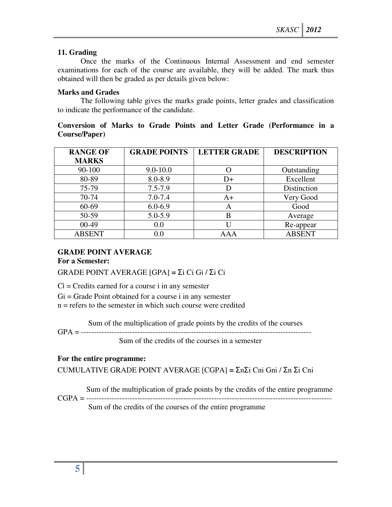# **11. Grading**

Once the marks of the Continuous Internal Assessment and end semester examinations for each of the course are available, they will be added. The mark thus obtained will then be graded as per details given below:

# **Marks and Grades**

The following table gives the marks grade points, letter grades and classification to indicate the performance of the candidate.

# **Conversion of Marks to Grade Points and Letter Grade (Performance in a Course/Paper)**

| <b>RANGE OF</b> | <b>GRADE POINTS</b> | <b>LETTER GRADE</b> | <b>DESCRIPTION</b> |
|-----------------|---------------------|---------------------|--------------------|
| <b>MARKS</b>    |                     |                     |                    |
| 90-100          | $9.0 - 10.0$        | 0                   | Outstanding        |
| 80-89           | 8.0-8.9             | D+                  | Excellent          |
| 75-79           | $7.5 - 7.9$         | D                   | Distinction        |
| 70-74           | $7.0 - 7.4$         | A+                  | Very Good          |
| 60-69           | $6.0 - 6.9$         | A                   | Good               |
| 50-59           | $5.0 - 5.9$         | В                   | Average            |
| $00-49$         | 0.0                 | U                   | Re-appear          |
| <b>ABSENT</b>   | 0.0                 | A A A               | <b>ABSENT</b>      |

# **GRADE POINT AVERAGE**

**For a Semester:** 

GRADE POINT AVERAGE [GPA] **=** Σi Ci Gi / Σi Ci

 $Ci = C$  redits earned for a course i in any semester

 $Gi = Grade Point obtained for a course i in any semester$ 

n = refers to the semester in which such course were credited

Sum of the multiplication of grade points by the credits of the courses

GPA = ------------------------------------------------------------------------------------------

Sum of the credits of the courses in a semester

# **For the entire programme:**

CUMULATIVE GRADE POINT AVERAGE [CGPA] **=** ΣnΣi Cni Gni / Σn Σi Cni

Sum of the multiplication of grade points by the credits of the entire programme

CGPA = ------------------------------------------------------------------------------------------------ Sum of the credits of the courses of the entire programme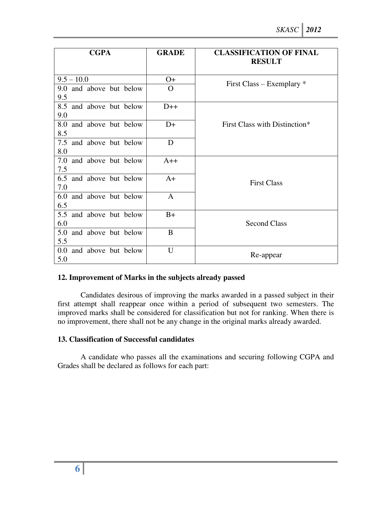| <b>CGPA</b>                       | <b>GRADE</b> | <b>CLASSIFICATION OF FINAL</b><br><b>RESULT</b> |
|-----------------------------------|--------------|-------------------------------------------------|
| $9.5 - 10.0$                      | $O+$         |                                                 |
| 9.0 and above but below<br>9.5    | $\Omega$     | First Class – Exemplary $*$                     |
| 8.5 and above but below<br>9.0    | $D++$        |                                                 |
| 8.0 and above but below<br>8.5    | $D+$         | First Class with Distinction*                   |
| 7.5 and above but below<br>8.0    | D            |                                                 |
| 7.0 and above but below<br>7.5    | $A++$        |                                                 |
| 6.5 and above but below<br>7.0    | $A+$         | <b>First Class</b>                              |
| 6.0<br>and above but below<br>6.5 | $\mathbf{A}$ |                                                 |
| 5.5 and above but below<br>6.0    | $B+$         | <b>Second Class</b>                             |
| 5.0<br>and above but below<br>5.5 | B            |                                                 |
| 0.0 and above but below<br>5.0    | U            | Re-appear                                       |

## **12. Improvement of Marks in the subjects already passed**

Candidates desirous of improving the marks awarded in a passed subject in their first attempt shall reappear once within a period of subsequent two semesters. The improved marks shall be considered for classification but not for ranking. When there is no improvement, there shall not be any change in the original marks already awarded.

# **13. Classification of Successful candidates**

A candidate who passes all the examinations and securing following CGPA and Grades shall be declared as follows for each part: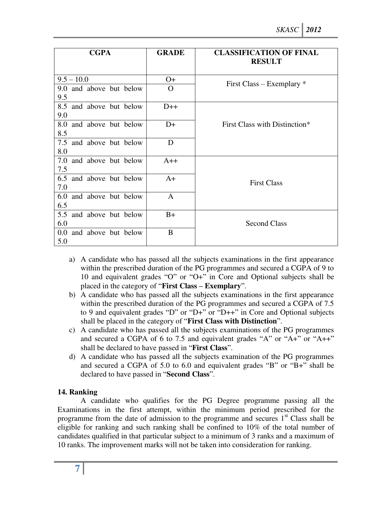| <b>CGPA</b>                           | <b>GRADE</b> | <b>CLASSIFICATION OF FINAL</b><br><b>RESULT</b> |  |
|---------------------------------------|--------------|-------------------------------------------------|--|
| $9.5 - 10.0$                          | $O+$         |                                                 |  |
| 9.0 and above but below<br>9.5        | $\Omega$     | First Class – Exemplary $*$                     |  |
| 8.5 and above but below<br>9.0        | $D++$        |                                                 |  |
| 8.0<br>and above but below<br>8.5     | $D+$         | First Class with Distinction*                   |  |
| 7.5 and above but below<br>8.0        | D            |                                                 |  |
| 7.0 and above but below<br>7.5        | $A++$        |                                                 |  |
| 6.5 and above but below<br>7.0        | $A+$         | <b>First Class</b>                              |  |
| 6.0<br>and above but below<br>6.5     | $\mathbf{A}$ |                                                 |  |
| 5.5 and above but below<br>6.0        | $B+$         | <b>Second Class</b>                             |  |
| and above but below<br>$0.0\,$<br>5.0 | B            |                                                 |  |

- a) A candidate who has passed all the subjects examinations in the first appearance within the prescribed duration of the PG programmes and secured a CGPA of 9 to 10 and equivalent grades "O" or "O+" in Core and Optional subjects shall be placed in the category of "**First Class – Exemplary**".
- b) A candidate who has passed all the subjects examinations in the first appearance within the prescribed duration of the PG programmes and secured a CGPA of 7.5 to 9 and equivalent grades "D" or "D+" or "D++" in Core and Optional subjects shall be placed in the category of "**First Class with Distinction**".
- c) A candidate who has passed all the subjects examinations of the PG programmes and secured a CGPA of 6 to 7.5 and equivalent grades "A" or "A+" or "A++" shall be declared to have passed in "**First Class**".
- d) A candidate who has passed all the subjects examination of the PG programmes and secured a CGPA of 5.0 to 6.0 and equivalent grades "B" or "B+" shall be declared to have passed in "**Second Class**".

# **14. Ranking**

A candidate who qualifies for the PG Degree programme passing all the Examinations in the first attempt, within the minimum period prescribed for the programme from the date of admission to the programme and secures  $1<sup>st</sup>$  Class shall be eligible for ranking and such ranking shall be confined to 10% of the total number of candidates qualified in that particular subject to a minimum of 3 ranks and a maximum of 10 ranks. The improvement marks will not be taken into consideration for ranking.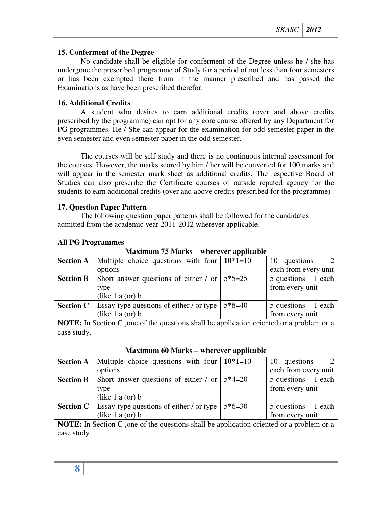## **15. Conferment of the Degree**

No candidate shall be eligible for conferment of the Degree unless he / she has undergone the prescribed programme of Study for a period of not less than four semesters or has been exempted there from in the manner prescribed and has passed the Examinations as have been prescribed therefor.

## **16. Additional Credits**

A student who desires to earn additional credits (over and above credits prescribed by the programme) can opt for any core course offered by any Department for PG programmes. He / She can appear for the examination for odd semester paper in the even semester and even semester paper in the odd semester.

 The courses will be self study and there is no continuous internal assessment for the courses. However, the marks scored by him / her will be converted for 100 marks and will appear in the semester mark sheet as additional credits. The respective Board of Studies can also prescribe the Certificate courses of outside reputed agency for the students to earn additional credits (over and above credits prescribed for the programme)

## **17. Question Paper Pattern**

The following question paper patterns shall be followed for the candidates admitted from the academic year 2011-2012 wherever applicable.

| <b>Maximum 75 Marks – wherever applicable</b>                                                    |                                                |          |                         |  |  |
|--------------------------------------------------------------------------------------------------|------------------------------------------------|----------|-------------------------|--|--|
| <b>Section A</b>                                                                                 | Multiple choice questions with four $10*1=10$  |          | 10 questions $-2$       |  |  |
|                                                                                                  | options                                        |          | each from every unit    |  |  |
| <b>Section B</b>                                                                                 | Short answer questions of either / or $5*5=25$ |          | $5$ questions $-1$ each |  |  |
|                                                                                                  | type                                           |          | from every unit         |  |  |
|                                                                                                  | (like $1.a$ (or) $b$                           |          |                         |  |  |
| <b>Section C</b>                                                                                 | Essay-type questions of either / or type       | $5*8=40$ | $5$ questions $-1$ each |  |  |
|                                                                                                  | (like $1.a$ (or) $b$                           |          | from every unit         |  |  |
| <b>NOTE:</b> In Section C , one of the questions shall be application oriented or a problem or a |                                                |          |                         |  |  |
| case study.                                                                                      |                                                |          |                         |  |  |

#### **All PG Programmes**

|                                                                                                 | <b>Maximum 60 Marks – wherever applicable</b>                     |          |                         |  |  |  |
|-------------------------------------------------------------------------------------------------|-------------------------------------------------------------------|----------|-------------------------|--|--|--|
| <b>Section A</b>                                                                                | Multiple choice questions with four $10*1=10$                     |          | 10 questions $-2$       |  |  |  |
|                                                                                                 | options                                                           |          | each from every unit    |  |  |  |
| <b>Section B</b>                                                                                | Short answer questions of either / or                             | $5*4=20$ | $5$ questions $-1$ each |  |  |  |
|                                                                                                 | type                                                              |          | from every unit         |  |  |  |
|                                                                                                 | (like $1.a$ (or) $b$                                              |          |                         |  |  |  |
|                                                                                                 | <b>Section C</b> $\vert$ Essay-type questions of either / or type | $5*6=30$ | $5$ questions $-1$ each |  |  |  |
|                                                                                                 | (like $1.a$ (or) $b$                                              |          | from every unit         |  |  |  |
| <b>NOTE:</b> In Section C, one of the questions shall be application oriented or a problem or a |                                                                   |          |                         |  |  |  |
| case study.                                                                                     |                                                                   |          |                         |  |  |  |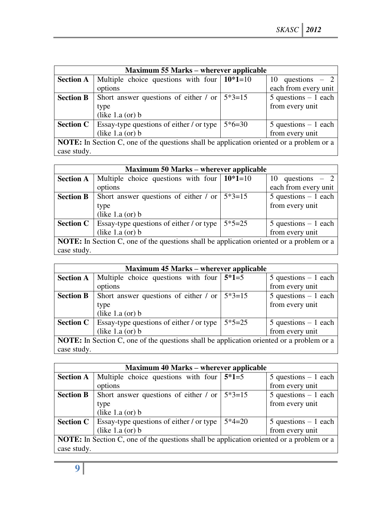|                                                                                                 | <b>Maximum 55 Marks – wherever applicable</b>                      |          |                         |  |  |  |
|-------------------------------------------------------------------------------------------------|--------------------------------------------------------------------|----------|-------------------------|--|--|--|
| <b>Section A</b>                                                                                | Multiple choice questions with four $10*1=10$                      |          | 10 questions $-2$       |  |  |  |
|                                                                                                 | options                                                            |          | each from every unit    |  |  |  |
| <b>Section B</b>                                                                                | Short answer questions of either / or $\frac{5*3=15}{ }$           |          | $5$ questions $-1$ each |  |  |  |
|                                                                                                 | type                                                               |          | from every unit         |  |  |  |
|                                                                                                 | (like $1.a$ (or) $b$                                               |          |                         |  |  |  |
|                                                                                                 | <b>Section C</b>   Essay-type questions of either $\prime$ or type | $5*6=30$ | $5$ questions $-1$ each |  |  |  |
|                                                                                                 | (like $1.a$ (or) $b$                                               |          | from every unit         |  |  |  |
| <b>NOTE:</b> In Section C, one of the questions shall be application oriented or a problem or a |                                                                    |          |                         |  |  |  |
| case study.                                                                                     |                                                                    |          |                         |  |  |  |

|                                                                                                 | <b>Maximum 50 Marks – wherever applicable</b>                      |          |                         |  |  |  |
|-------------------------------------------------------------------------------------------------|--------------------------------------------------------------------|----------|-------------------------|--|--|--|
| <b>Section A</b>                                                                                | Multiple choice questions with four $\vert 10^*1=10 \rangle$       |          | 10 questions $-2$       |  |  |  |
|                                                                                                 | options                                                            |          | each from every unit    |  |  |  |
| <b>Section B</b>                                                                                | Short answer questions of either / or                              | $5*3=15$ | $5$ questions $-1$ each |  |  |  |
|                                                                                                 | type                                                               |          | from every unit         |  |  |  |
|                                                                                                 | (like $1.a$ (or) $b$                                               |          |                         |  |  |  |
|                                                                                                 | <b>Section C</b>   Essay-type questions of either $\prime$ or type | $5*5=25$ | $5$ questions $-1$ each |  |  |  |
|                                                                                                 | (like $1.a$ (or) $b$                                               |          | from every unit         |  |  |  |
| <b>NOTE:</b> In Section C, one of the questions shall be application oriented or a problem or a |                                                                    |          |                         |  |  |  |
| case study.                                                                                     |                                                                    |          |                         |  |  |  |

|                                                                                                 | <b>Maximum 45 Marks – wherever applicable</b>                      |          |                         |  |  |  |
|-------------------------------------------------------------------------------------------------|--------------------------------------------------------------------|----------|-------------------------|--|--|--|
| <b>Section A</b>                                                                                | Multiple choice questions with four $5*1=5$                        |          | $5$ questions $-1$ each |  |  |  |
|                                                                                                 | options                                                            |          | from every unit         |  |  |  |
| <b>Section B</b>                                                                                | Short answer questions of either / or $\frac{5*3=15}{ }$           |          | $5$ questions $-1$ each |  |  |  |
|                                                                                                 | type                                                               |          | from every unit         |  |  |  |
|                                                                                                 | (like $1.a$ (or) $b$                                               |          |                         |  |  |  |
|                                                                                                 | <b>Section C</b>   Essay-type questions of either $\prime$ or type | $5*5=25$ | $5$ questions $-1$ each |  |  |  |
|                                                                                                 | (like $1.a$ (or) $b$                                               |          | from every unit         |  |  |  |
| <b>NOTE:</b> In Section C, one of the questions shall be application oriented or a problem or a |                                                                    |          |                         |  |  |  |
| case study.                                                                                     |                                                                    |          |                         |  |  |  |

| <b>Maximum 40 Marks – wherever applicable</b>                                                   |                                                                    |          |                         |
|-------------------------------------------------------------------------------------------------|--------------------------------------------------------------------|----------|-------------------------|
| <b>Section A</b>                                                                                | Multiple choice questions with four $5*1=5$                        |          | $5$ questions $-1$ each |
|                                                                                                 | options                                                            |          | from every unit         |
| <b>Section B</b>                                                                                | Short answer questions of either / or                              | $5*3=15$ | $5$ questions $-1$ each |
|                                                                                                 | type                                                               |          | from every unit         |
|                                                                                                 | (like $1.a$ (or) $b$                                               |          |                         |
|                                                                                                 | <b>Section C</b>   Essay-type questions of either $\prime$ or type | $5*4=20$ | $5$ questions $-1$ each |
|                                                                                                 | (like $1.a$ (or) $b$                                               |          | from every unit         |
| <b>NOTE:</b> In Section C, one of the questions shall be application oriented or a problem or a |                                                                    |          |                         |
| case study.                                                                                     |                                                                    |          |                         |